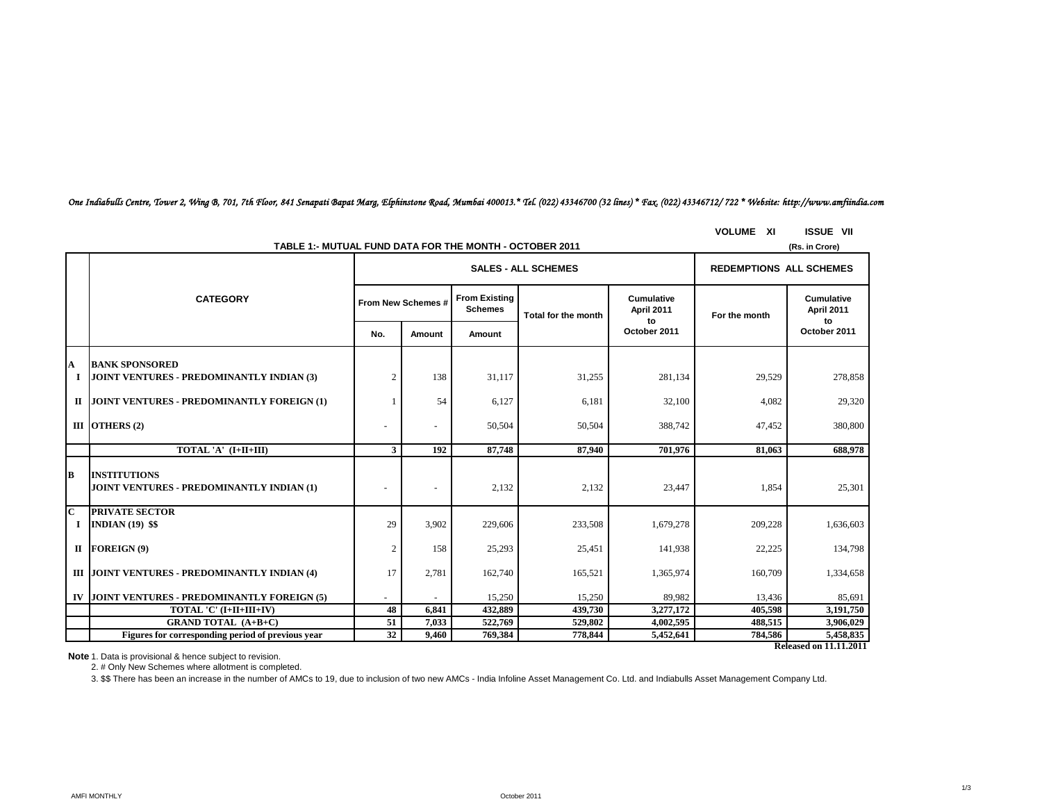*One Indiabulls Centre, Tower 2, Wing B, 701, 7th Floor, 841 Senapati Bapat Marg, Elphinstone Road, Mumbai 400013.\* Tel. (022) 43346700 (32 lines) \* Fax. (022) 43346712/ 722 \* Website: http://www.amfiindia.com*

### **VOLUME XI ISSUE VII**

| TABLE 1:- MUTUAL FUND DATA FOR THE MONTH - OCTOBER 2011<br>(Rs. in Crore) |                                                                  |                |                          |         |                            |                                |                                |                                |  |  |
|---------------------------------------------------------------------------|------------------------------------------------------------------|----------------|--------------------------|---------|----------------------------|--------------------------------|--------------------------------|--------------------------------|--|--|
|                                                                           |                                                                  |                |                          |         | <b>SALES - ALL SCHEMES</b> |                                | <b>REDEMPTIONS ALL SCHEMES</b> |                                |  |  |
|                                                                           | <b>CATEGORY</b>                                                  |                | From New Schemes #       |         | Total for the month        | Cumulative<br>April 2011<br>to | For the month                  | Cumulative<br>April 2011<br>to |  |  |
|                                                                           |                                                                  | No.            | Amount                   | Amount  |                            | October 2011                   |                                | October 2011                   |  |  |
| А                                                                         | <b>BANK SPONSORED</b>                                            |                |                          |         |                            |                                |                                |                                |  |  |
| 1                                                                         | <b>JOINT VENTURES - PREDOMINANTLY INDIAN (3)</b>                 | $\overline{c}$ | 138                      | 31,117  | 31,255                     | 281,134                        | 29,529                         | 278,858                        |  |  |
|                                                                           | II JOINT VENTURES - PREDOMINANTLY FOREIGN (1)                    |                | 54                       | 6,127   | 6,181                      | 32,100                         | 4,082                          | 29,320                         |  |  |
|                                                                           | III OTHERS $(2)$                                                 |                | $\overline{\phantom{a}}$ | 50,504  | 50,504                     | 388,742                        | 47,452                         | 380,800                        |  |  |
|                                                                           | TOTAL 'A' (I+II+III)                                             | 3              | 192                      | 87,748  | 87,940                     | 701,976                        | 81.063                         | 688,978                        |  |  |
| B                                                                         | <b>INSTITUTIONS</b><br>JOINT VENTURES - PREDOMINANTLY INDIAN (1) |                |                          | 2,132   | 2,132                      | 23,447                         | 1,854                          | 25,301                         |  |  |
| $\overline{\mathbf{C}}$<br>$\bf{I}$                                       | <b>PRIVATE SECTOR</b><br><b>INDIAN</b> (19) \$\$                 | 29             | 3,902                    | 229,606 | 233,508                    | 1,679,278                      | 209,228                        | 1,636,603                      |  |  |
|                                                                           | $II$ FOREIGN (9)                                                 | 2              | 158                      | 25,293  | 25,451                     | 141,938                        | 22,225                         | 134,798                        |  |  |
|                                                                           | III JOINT VENTURES - PREDOMINANTLY INDIAN (4)                    | 17             | 2,781                    | 162,740 | 165,521                    | 1,365,974                      | 160,709                        | 1,334,658                      |  |  |
|                                                                           | IV JOINT VENTURES - PREDOMINANTLY FOREIGN (5)                    |                |                          | 15,250  | 15,250                     | 89,982                         | 13,436                         | 85,691                         |  |  |
|                                                                           | TOTAL 'C' (I+II+III+IV)                                          | 48             | 6,841                    | 432,889 | 439,730                    | 3,277,172                      | 405,598                        | 3,191,750                      |  |  |
|                                                                           | <b>GRAND TOTAL (A+B+C)</b>                                       | 51             | 7,033                    | 522,769 | 529,802                    | 4,002,595                      | 488,515                        | 3,906,029                      |  |  |
|                                                                           | Figures for corresponding period of previous year                | 32             | 9,460                    | 769,384 | 778,844                    | 5,452,641                      | 784,586                        | 5,458,835                      |  |  |

**Released on 11.11.2011**

**Note** 1. Data is provisional & hence subject to revision.

2. # Only New Schemes where allotment is completed.

3. \$\$ There has been an increase in the number of AMCs to 19, due to inclusion of two new AMCs - India Infoline Asset Management Co. Ltd. and Indiabulls Asset Management Company Ltd.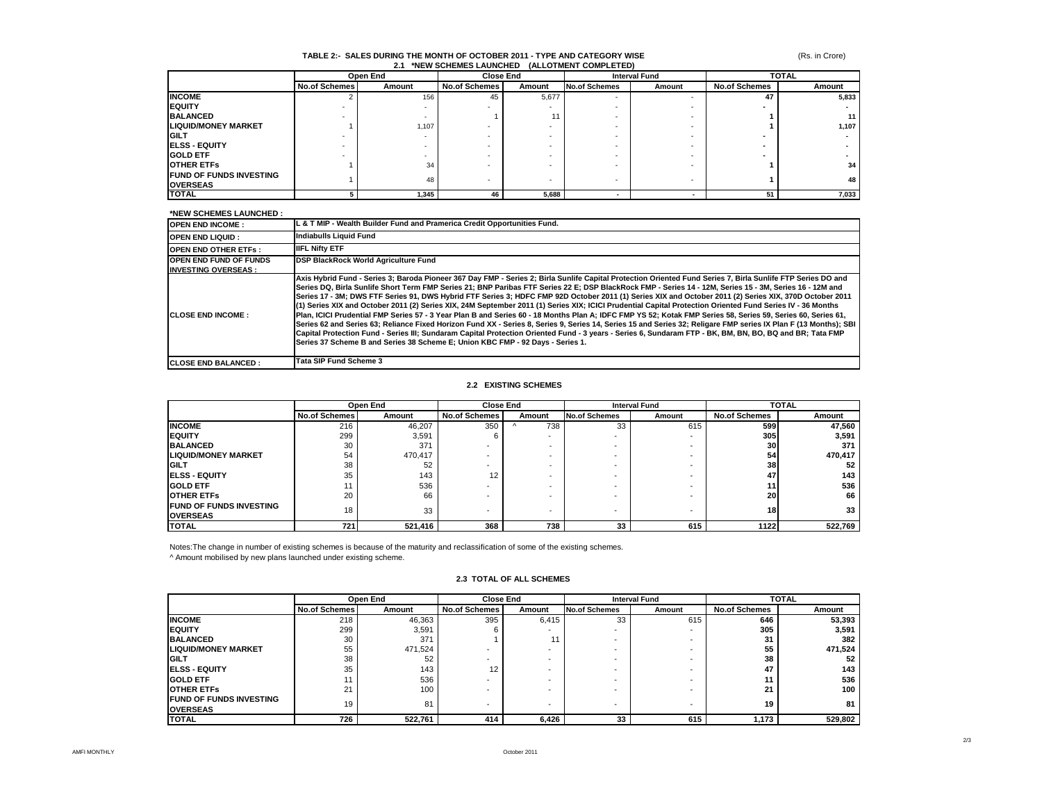# **TABLE 2:- SALES DURING THE MONTH OF OCTOBER 2011 - TYPE AND CATEGORY WISE 2.1 \*NEW SCHEMES LAUNCHED (ALLOTMENT COMPLETED)**

|                                |                      | Open End |                      | <b>Close End</b> |                          | <b>Interval Fund</b> |                      | <b>TOTAL</b> |
|--------------------------------|----------------------|----------|----------------------|------------------|--------------------------|----------------------|----------------------|--------------|
|                                | <b>No.of Schemes</b> | Amount   | <b>No.of Schemes</b> | Amount           | <b>No.of Schemes</b>     | Amount               | <b>No.of Schemes</b> | Amount       |
| <b>INCOME</b>                  |                      | 156      | 45                   | 5,677            | $\overline{\phantom{a}}$ |                      | 47                   | 5,833        |
| <b>IEQUITY</b>                 |                      |          |                      |                  |                          |                      |                      |              |
| <b>BALANCED</b>                |                      |          |                      | 11               |                          |                      |                      | 11           |
| <b>LIQUID/MONEY MARKET</b>     |                      | 1,107    |                      |                  |                          |                      |                      | 1,107        |
| <b>IGILT</b>                   |                      |          |                      |                  |                          |                      |                      |              |
| <b>IELSS - EQUITY</b>          |                      |          |                      |                  |                          |                      |                      |              |
| <b>GOLD ETF</b>                |                      |          |                      |                  |                          |                      |                      |              |
| <b>OTHER ETFS</b>              |                      | 34       |                      |                  |                          |                      |                      | 34           |
| <b>FUND OF FUNDS INVESTING</b> |                      | 48       |                      |                  |                          |                      |                      | 48           |
| <b>OVERSEAS</b>                |                      |          |                      |                  |                          |                      |                      |              |
| <b>TOTAL</b>                   |                      | 1,345    | 46                   | 5,688            |                          |                      | 51                   | 7,033        |

### **\*NEW SCHEMES LAUNCHED :**

| ישווטוושהם באשורים ושט                                      |                                                                                                                                                                                                                                                                                                                                                                                                                                                                                                                                                                                                                                                                                                                                                                                                                                                                                                                                                                                                                                                                                                                                                                                                                                     |
|-------------------------------------------------------------|-------------------------------------------------------------------------------------------------------------------------------------------------------------------------------------------------------------------------------------------------------------------------------------------------------------------------------------------------------------------------------------------------------------------------------------------------------------------------------------------------------------------------------------------------------------------------------------------------------------------------------------------------------------------------------------------------------------------------------------------------------------------------------------------------------------------------------------------------------------------------------------------------------------------------------------------------------------------------------------------------------------------------------------------------------------------------------------------------------------------------------------------------------------------------------------------------------------------------------------|
| <b>OPEN END INCOME:</b>                                     | L & T MIP - Wealth Builder Fund and Pramerica Credit Opportunities Fund.                                                                                                                                                                                                                                                                                                                                                                                                                                                                                                                                                                                                                                                                                                                                                                                                                                                                                                                                                                                                                                                                                                                                                            |
| <b>IOPEN END LIQUID :</b>                                   | <b>Indiabulls Liquid Fund</b>                                                                                                                                                                                                                                                                                                                                                                                                                                                                                                                                                                                                                                                                                                                                                                                                                                                                                                                                                                                                                                                                                                                                                                                                       |
| <b>OPEN END OTHER ETFS:</b>                                 | <b>IIFL Nifty ETF</b>                                                                                                                                                                                                                                                                                                                                                                                                                                                                                                                                                                                                                                                                                                                                                                                                                                                                                                                                                                                                                                                                                                                                                                                                               |
| <b>OPEN END FUND OF FUNDS</b><br><b>INVESTING OVERSEAS:</b> | <b>DSP BlackRock World Agriculture Fund</b>                                                                                                                                                                                                                                                                                                                                                                                                                                                                                                                                                                                                                                                                                                                                                                                                                                                                                                                                                                                                                                                                                                                                                                                         |
| <b>CLOSE END INCOME:</b>                                    | Axis Hybrid Fund - Series 3; Baroda Pioneer 367 Day FMP - Series 2; Birla Sunlife Capital Protection Oriented Fund Series 7, Birla Sunlife FTP Series DO and<br>Series DQ, Birla Sunlife Short Term FMP Series 21; BNP Paribas FTF Series 22 E; DSP BlackRock FMP - Series 14 - 12M, Series 15 - 3M, Series 16 - 12M and<br>Series 17 - 3M; DWS FTF Series 91, DWS Hybrid FTF Series 3; HDFC FMP 92D October 2011 (1) Series XIX and October 2011 (2) Series XIX, 370D October 2011<br>(1) Series XIX and October 2011 (2) Series XIX, 24M September 2011 (1) Series XIX; ICICI Prudential Capital Protection Oriented Fund Series IV - 36 Months<br>Plan. ICICI Prudential FMP Series 57 - 3 Year Plan B and Series 60 - 18 Months Plan A: IDFC FMP YS 52: Kotak FMP Series 58. Series 59. Series 60. Series 61.<br>Series 62 and Series 63; Reliance Fixed Horizon Fund XX - Series 8, Series 9, Series 14, Series 15 and Series 32; Religare FMP series IX Plan F (13 Months); SBI<br>Capital Protection Fund - Series III: Sundaram Capital Protection Oriented Fund - 3 vears - Series 6. Sundaram FTP - BK. BM. BN. BO. BQ and BR: Tata FMP<br>Series 37 Scheme B and Series 38 Scheme E: Union KBC FMP - 92 Davs - Series 1. |
| <b>CLOSE END BALANCED:</b>                                  | <b>Tata SIP Fund Scheme 3</b>                                                                                                                                                                                                                                                                                                                                                                                                                                                                                                                                                                                                                                                                                                                                                                                                                                                                                                                                                                                                                                                                                                                                                                                                       |

### **2.2 EXISTING SCHEMES**

|                                                    | Open End             |         | <b>Close End</b>     |                | <b>Interval Fund</b>     |                          |                      | <b>TOTAL</b> |  |
|----------------------------------------------------|----------------------|---------|----------------------|----------------|--------------------------|--------------------------|----------------------|--------------|--|
|                                                    | <b>No.of Schemes</b> | Amount  | <b>No.of Schemes</b> | Amount         | <b>No.of Schemes</b>     | Amount                   | <b>No.of Schemes</b> | Amount       |  |
| <b>INCOME</b>                                      | 216                  | 46,207  | 350                  | 738            | 33                       | 615                      | 599                  | 47,560       |  |
| <b>IEQUITY</b>                                     | 299                  | 3,591   | 6                    |                | $\overline{\phantom{0}}$ | $\overline{\phantom{a}}$ | 305                  | 3,591        |  |
| <b>BALANCED</b>                                    | 30                   | 371     | -                    | ۰              | $\overline{\phantom{0}}$ |                          | 30 <sub>l</sub>      | 371          |  |
| <b>LIQUID/MONEY MARKET</b>                         | 54                   | 470,417 |                      | $\overline{a}$ | $\overline{\phantom{0}}$ |                          | 54                   | 470,417      |  |
| <b>IGILT</b>                                       | 38                   | 52      |                      | ۰              | -                        |                          | 38                   | 52           |  |
| <b>IELSS - EQUITY</b>                              | 35                   | 143     | 12                   | -              | -                        |                          | 47                   | 143          |  |
| <b>IGOLD ETF</b>                                   |                      | 536     |                      | -              |                          |                          | 11                   | 536          |  |
| <b>OTHER ETFS</b>                                  | 20                   | 66      |                      | ۰              | -                        |                          | 20                   | 66           |  |
| <b>IFUND OF FUNDS INVESTING</b><br><b>OVERSEAS</b> | 18                   | 33      | -                    | $\overline{a}$ | $\overline{\phantom{a}}$ | $\overline{\phantom{a}}$ | 18                   | 33           |  |
| <b>TOTAL</b>                                       | 721                  | 521,416 | 368                  | 738            | 33                       | 615                      | 1122                 | 522,769      |  |

Notes:The change in number of existing schemes is because of the maturity and reclassification of some of the existing schemes.

^ Amount mobilised by new plans launched under existing scheme.

## **2.3 TOTAL OF ALL SCHEMES**

|                                                   | Open End             |         | <b>TOTAL</b><br><b>Close End</b><br><b>Interval Fund</b> |                          |                      |        |                      |         |
|---------------------------------------------------|----------------------|---------|----------------------------------------------------------|--------------------------|----------------------|--------|----------------------|---------|
|                                                   | <b>No.of Schemes</b> | Amount  | <b>No.of Schemes</b>                                     | Amount                   | <b>No.of Schemes</b> | Amount | <b>No.of Schemes</b> | Amount  |
| <b>INCOME</b>                                     | 218                  | 46,363  | 395                                                      | 6.415                    | 33                   | 615    | 646                  | 53,393  |
| <b>IEQUITY</b>                                    | 299                  | 3,591   |                                                          |                          |                      |        | 305                  | 3,591   |
| <b>BALANCED</b>                                   | 30                   | 371     |                                                          | 11                       |                      |        | 31                   | 382     |
| <b>LIQUID/MONEY MARKET</b>                        | 55                   | 471,524 |                                                          | $\overline{\phantom{a}}$ |                      |        | 55                   | 471,524 |
| <b>GILT</b>                                       | 38                   | 52      |                                                          | $\overline{\phantom{a}}$ |                      |        | 38                   | 52      |
| <b>IELSS - EQUITY</b>                             | 35                   | 143     | 12                                                       | $\overline{\phantom{a}}$ |                      |        | 47                   | 143     |
| <b>IGOLD ETF</b>                                  |                      | 536     |                                                          | -                        |                      |        |                      | 536     |
| <b>OTHER ETFS</b>                                 | 21                   | 100     |                                                          |                          |                      |        | 21                   | 100     |
| <b>FUND OF FUNDS INVESTING</b><br><b>OVERSEAS</b> | 19                   | 81      |                                                          | $\overline{\phantom{a}}$ |                      |        | 19                   | 81      |
| <b>TOTAL</b>                                      | 726                  | 522.761 | 414                                                      | 6.426                    | 33                   | 615    | 1,173                | 529,802 |